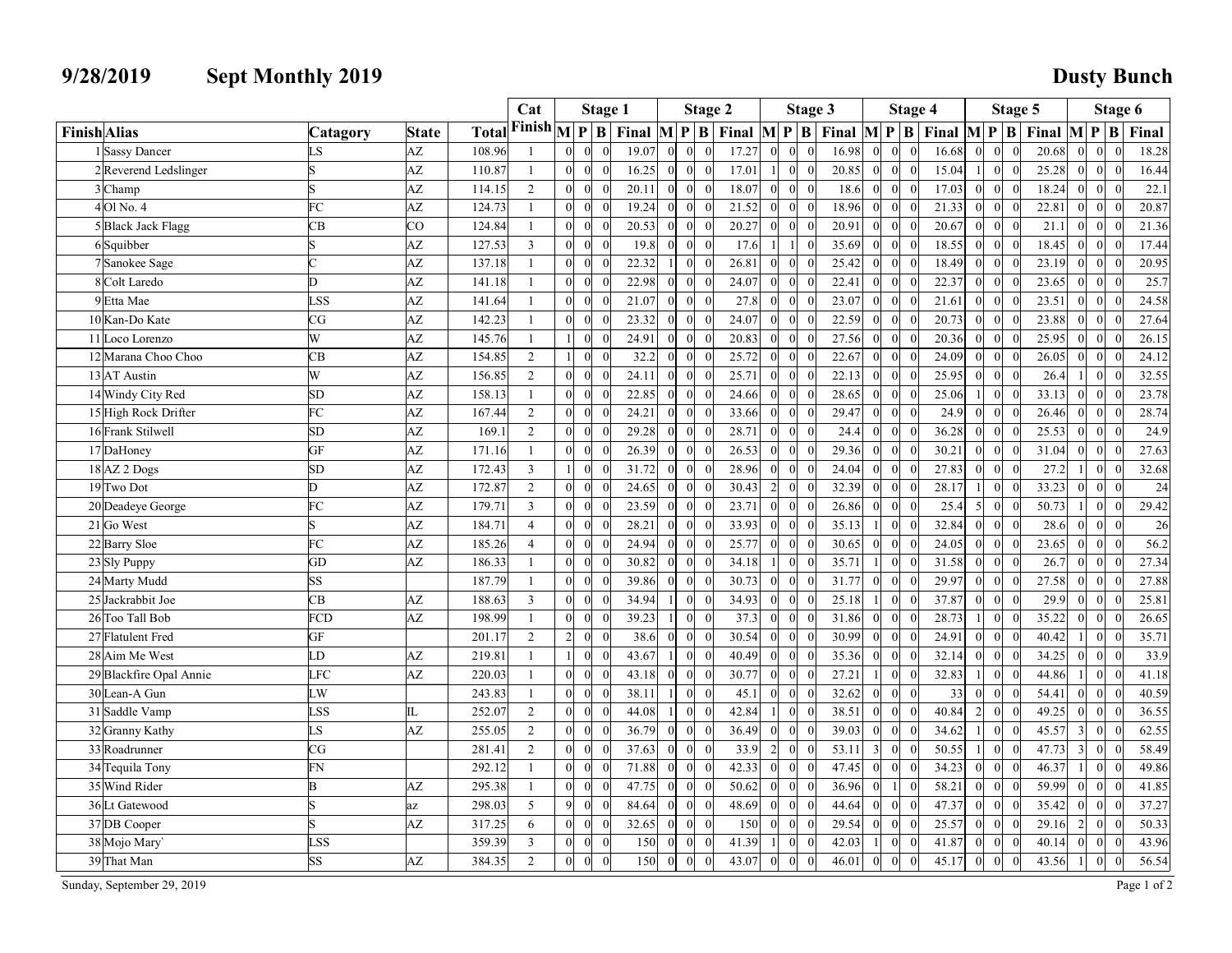| 9/28/2019                              | <b>Sept Monthly 2019</b> |                    |                        |                |                               |                |                |                                  |                                 |                |                                  |          |                                                                                                                                                                                                                                                                                                                                                                                                                  |                                              |                |                                                                   |          | <b>Dusty Bunch</b>                     |                                                                   |                |
|----------------------------------------|--------------------------|--------------------|------------------------|----------------|-------------------------------|----------------|----------------|----------------------------------|---------------------------------|----------------|----------------------------------|----------|------------------------------------------------------------------------------------------------------------------------------------------------------------------------------------------------------------------------------------------------------------------------------------------------------------------------------------------------------------------------------------------------------------------|----------------------------------------------|----------------|-------------------------------------------------------------------|----------|----------------------------------------|-------------------------------------------------------------------|----------------|
|                                        |                          |                    |                        | Cat            |                               | <b>Stage 1</b> |                |                                  | Stage 2                         |                |                                  | Stage 3  |                                                                                                                                                                                                                                                                                                                                                                                                                  | Stage 4                                      |                |                                                                   | Stage 5  |                                        | Stage 6                                                           |                |
| <b>Finish</b> Alias                    | Catagory<br>LS           | <b>State</b><br>AZ | <b>Total</b><br>108.96 |                |                               |                | 19.07          |                                  |                                 |                |                                  |          | $\overline{\bf 1}$ Finish $\overline{\bf 1}$ $\overline{\bf P}$ $\overline{\bf B}$ Final $\overline{\bf M}$ $\overline{\bf P}$ $\overline{\bf B}$ Final $\overline{\bf M}$ $\overline{\bf P}$ $\overline{\bf B}$ $\overline{\bf F}$ Final $\overline{\bf M}$ $\overline{\bf P}$ $\overline{\bf B}$ $\overline{\bf F}$ Final $\overline{\bf M}$ $\overline{\bf P}$ $\overline{\bf B}$ $\overline{\bf F}$<br>16.98 | $\Omega$                                     | 16.68          |                                                                   | $\theta$ | 20.68                                  | $\theta$<br>$\Omega$                                              | 18.28          |
| 1 Sassy Dancer<br>2Reverend Ledslinger |                          | AZ                 | 110.87                 |                |                               |                | 16.25          |                                  | $\overline{0}$                  | 17.27<br>17.01 |                                  |          | 20.85                                                                                                                                                                                                                                                                                                                                                                                                            | $\theta$<br>$\Omega$                         | 15.04          | $\overline{0}$<br>$0\quad 0$                                      |          | 25.28<br>$\overline{0}$                | 0 <br>$\vert$ 0                                                   | 16.44          |
| 3 Champ                                |                          | AZ                 | 114.15                 | 2              | $\Omega$                      |                | 20.11          |                                  | $\overline{0}$                  | 18.07          |                                  |          | 18.6                                                                                                                                                                                                                                                                                                                                                                                                             | $\overline{0}$<br>$\overline{0}$             | 17.03          | $0\quad 0$                                                        |          | 18.24<br> 0                            | 0 <br>$\overline{0}$                                              | 22.1           |
| 4 Ol No. 4                             | FC                       | AZ                 | 124.73                 |                |                               |                | 19.24          |                                  | $\overline{0}$                  | 21.52          |                                  |          | 18.96                                                                                                                                                                                                                                                                                                                                                                                                            | $\overline{0}$<br>$\vert$ 0                  | 21.33          | $0 \quad 0$                                                       |          | 22.81<br>$\overline{0}$                | $\vert$ 0<br> 0                                                   | 20.87          |
| 5 Black Jack Flagg                     | CB                       | $_{\rm CO}$        | 124.84                 |                | $\Omega$                      |                | 20.53          |                                  | $\overline{0}$                  | 20.27          |                                  |          | 20.91<br>$\Omega$                                                                                                                                                                                                                                                                                                                                                                                                | $\overline{0}$<br>$\vert$ 0                  | 20.67          | $0 \quad 0$                                                       |          | 21.1<br>$\overline{0}$                 | $\vert$ 0<br> 0                                                   | 21.36          |
| 6Squibber                              |                          | AZ                 | 127.53                 | $\mathcal{R}$  |                               |                | 19.8           |                                  | $\theta$                        | 17.6           |                                  |          | 35.69                                                                                                                                                                                                                                                                                                                                                                                                            | $\theta$<br>$\vert$ 0                        | 18.55          | $0\quad 0$                                                        |          | 18.45<br>$\overline{0}$                | 0 <br>$\overline{0}$                                              | 17.44          |
| 7 Sanokee Sage                         |                          | AZ                 | 137.18                 |                | $\Omega$                      |                | 22.32          |                                  | $\overline{0}$                  | 26.81          |                                  |          | 25.42                                                                                                                                                                                                                                                                                                                                                                                                            | $\overline{0}$<br>$\overline{0}$             | 18.49          | $0\quad 0$                                                        |          | 23.19<br>$\overline{0}$                | 0 <br>$\overline{0}$                                              | 20.95          |
| 8 Colt Laredo                          | D.                       | AZ                 | 141.18                 |                |                               |                | 22.98          |                                  | $\overline{0}$                  | 24.07          |                                  |          | 22.41                                                                                                                                                                                                                                                                                                                                                                                                            | $\overline{0}$<br>$\vert$ 0                  | 22.37          | $0 \quad 0$                                                       |          | 23.65<br>$\overline{0}$                | $\overline{0}$<br> 0                                              | 25.7           |
| 9 Etta Mae                             | <b>LSS</b>               | AZ                 | 141.64                 |                |                               |                | 21.07          |                                  | $\theta$                        | 27.8           |                                  |          | 23.07                                                                                                                                                                                                                                                                                                                                                                                                            | $\overline{0}$<br>$\vert$ 0                  | 21.61          | $0 \quad 0$                                                       |          | 23.51<br>$\overline{0}$                | 0 <br>$\vert$ 0                                                   | 24.58          |
| 10 Kan-Do Kate                         | CG                       | AZ                 | 142.23                 |                |                               |                | 23.32          |                                  | $\theta$                        | 24.07          |                                  |          | 22.59                                                                                                                                                                                                                                                                                                                                                                                                            | $\theta$<br>$\overline{0}$                   | 20.73          | $0 \quad 0$                                                       |          | 23.88<br>$\Omega$                      | 0 <br>$\Omega$                                                    | 27.64          |
| 11 Loco Lorenzo<br>12 Marana Choo Choo | W<br>CB                  | AZ<br>AZ           | 145.76<br>154.85       | $\overline{2}$ |                               |                | 24.91<br>32.2  |                                  | $\overline{0}$                  | 20.83<br>25.72 |                                  |          | 27.56<br>22.67                                                                                                                                                                                                                                                                                                                                                                                                   | $\Omega$<br>$\overline{0}$                   | 20.36<br>24.09 | $\overline{0}$<br>$0\quad 0$                                      |          | 25.95<br>$\Omega$<br>26.05             | $\Omega$<br>$\Omega$<br> 0                                        | 26.15<br>24.12 |
| 13 AT Austin                           | W                        | AZ                 | 156.85                 | 2              | $\Omega$                      |                | 24.11          |                                  | $\theta$                        | 25.71          | $\Omega$                         |          | 22.13<br>$\theta$                                                                                                                                                                                                                                                                                                                                                                                                | 0 <br>$\vert 0 \vert$                        | 25.95          | $\vert 0 \vert$                                                   | $\bf{0}$ | 0 <br>26.4                             | $\vert 0 \vert$<br> 0 <br> 0                                      | 32.55          |
| 14 Windy City Red                      | SD                       | AZ                 | 158.13                 |                | $0 \quad 0$                   |                | 22.85          | $\overline{0}$                   | $\overline{0}$                  | 24.66          | $\theta$                         |          | 28.65<br>$\bf{0}$                                                                                                                                                                                                                                                                                                                                                                                                | $0\quad 0$                                   | 25.06          | $0\quad 0$                                                        |          | 33.13                                  | $0 \quad 0$<br>$\vert 0 \vert$                                    | 23.78          |
| 15 High Rock Drifter                   | FC                       | AZ                 | 167.44                 | 2              | $0 \quad 0$                   |                | 24.21          | $\overline{0}$                   | 0                               | 33.66          | $\overline{0}$                   |          | 29.47<br>$\overline{0}$                                                                                                                                                                                                                                                                                                                                                                                          | $0 \mid 0$                                   | 24.9           | $0 \quad 0$<br>$\overline{0}$                                     |          | 26.46                                  | $0 \quad 0 \quad 0$                                               | 28.74          |
| 16 Frank Stilwell                      | ${\rm SD}$               | AZ                 | 169.1                  | 2              | $\overline{0}$                |                | 29.28          | 0                                | 0                               | 28.71          | $\theta$                         |          | 24.4<br>$\mathbf{0}$                                                                                                                                                                                                                                                                                                                                                                                             | $0\quad 0$                                   | 36.28          | $0 \quad 0$<br>$\vert 0 \vert$                                    |          | 25.53                                  | $0 \quad 0 \quad 0$                                               | 24.9           |
| 17 DaHoney                             | GF                       | AZ                 | 171.16                 |                | $\overline{0}$                |                | 26.39          | $\overline{0}$                   | 0                               | 26.53          |                                  |          | 29.36<br>$\theta$                                                                                                                                                                                                                                                                                                                                                                                                | $\overline{0}$<br> 0                         | 30.21          | $0\quad 0$<br>$\overline{0}$                                      |          | 31.04<br>$\vert 0 \vert$               | $0\quad 0$                                                        | 27.63          |
| 18 AZ 2 Dogs                           | SD                       | AZ                 | 172.43                 | $\overline{3}$ | $\Omega$                      |                | 31.72          | $\overline{0}$                   | 0                               | 28.96          |                                  |          | 24.04<br>$\theta$                                                                                                                                                                                                                                                                                                                                                                                                | $\overline{0}$<br> 0                         | 27.83          | $0\quad 0$<br>$\overline{0}$                                      |          | $27.2$ 1                               | $0 \quad 0$                                                       | 32.68          |
| 19 Two Dot                             | D                        | AZ                 | 172.87                 | 2              | $\vert$ 0                     |                | 24.65          | 0                                | $\vert 0 \vert$                 | 30.43          | $\overline{2}$<br>$\overline{0}$ |          | 32.39<br>$\theta$                                                                                                                                                                                                                                                                                                                                                                                                | $0\quad 0$                                   | 28.17          | $0\quad 0$                                                        |          | 33.23                                  | $0 \quad 0 \quad 0$                                               | 24             |
| 20 Deadeye George                      | FC                       | AZ                 | 179.71                 | $\overline{3}$ | $\vert$ 0                     |                | 23.59          | $\overline{0}$                   | 0                               | 23.71          | $\Omega$                         |          | 26.86<br>$\theta$                                                                                                                                                                                                                                                                                                                                                                                                | $0 \mid 0$                                   | 25.4           | $0\quad 0$<br>$\mathcal{F}$                                       |          | 50.73 1                                | $0\quad 0$                                                        | 29.42          |
| 21 Go West                             | ls.                      | AZ                 | 184.71                 | 4              | $\Omega$                      |                | 28.21          | $\vert 0 \vert$                  | $\vert 0 \vert$                 | 33.93          |                                  |          | 35.13                                                                                                                                                                                                                                                                                                                                                                                                            | $\overline{0}$<br> 0                         | 32.84          | $0 \quad 0$<br>$\overline{0}$                                     |          | 28.6                                   | $0 \quad 0 \quad 0$                                               | 26             |
| 22 Barry Sloe                          | FC<br>GD                 | AZ                 | 185.26                 | $\overline{4}$ | $\overline{0}$<br>$0 \quad 0$ |                | 24.94          | $\overline{0}$                   | 0                               | 25.77          | $\overline{0}$                   |          | 30.65<br>$\theta$<br>35.71                                                                                                                                                                                                                                                                                                                                                                                       | $\overline{0}$<br> 0                         | 24.05          | $0\quad 0$<br>$\overline{0}$                                      |          | 23.65<br>26.7                          | $0 \quad 0 \quad 0$                                               | 56.2<br>27.34  |
| 23 Sly Puppy<br>24 Marty Mudd          | SS                       | AZ                 | 186.33<br>187.79       |                | $0 \quad 0$                   |                | 30.82<br>39.86 | $\overline{0}$<br>$\overline{0}$ | 0 <br> 0                        | 34.18<br>30.73 | $\overline{0}$                   |          | 31.77<br>$\overline{0}$                                                                                                                                                                                                                                                                                                                                                                                          | 0 <br>$\overline{0}$<br>$0\quad 0$           | 31.58<br>29.97 | $0\quad 0$<br>$\overline{0}$<br>$0\quad 0$<br>$\overline{0}$      |          | 27.58                                  | $0\quad 0$<br>$\overline{\mathbf{0}}$<br>$0 \quad 0$<br>$\vert$ 0 | 27.88          |
| 25 Jackrabbit Joe                      | CB                       | AZ                 | 188.63                 | $\overline{3}$ | $\overline{0}$                |                | 34.94          | $\overline{0}$                   | 0                               | 34.93          |                                  |          | 25.18                                                                                                                                                                                                                                                                                                                                                                                                            | 0 <br>$\overline{0}$                         | 37.87          | $0\quad 0$<br>$\overline{0}$                                      |          | 29.9<br>$\overline{0}$                 | $\overline{0}$<br>$\vert 0 \vert$                                 | 25.81          |
| 26 Too Tall Bob                        | FCD                      | AZ                 | 198.99                 |                | $0 \quad 0$                   |                | 39.23          | 0                                | 0                               | 37.3           | $\Omega$                         |          | 31.86<br>$\theta$                                                                                                                                                                                                                                                                                                                                                                                                | $\mathbf{0}$<br> 0                           | 28.73          | $0\quad 0$                                                        |          | 35.22<br> 0                            | $\overline{0}$<br>$\vert 0 \vert$                                 | 26.65          |
| 27 Flatulent Fred                      | GF                       |                    | 201.17                 | 2              | $2\quad 0$                    |                | 38.6           | $\overline{0}$                   | 0                               | 30.54          |                                  |          | 30.99<br>$\theta$                                                                                                                                                                                                                                                                                                                                                                                                | $\mathbf{0}$<br> 0                           | 24.91          | $0 \quad 0$<br>$\Omega$                                           |          | 40.42                                  | $\bf{0}$<br>$\bf{0}$                                              | 35.71          |
| 28 Aim Me West                         | LD                       | AZ                 | 219.81                 |                | $\vert 0 \vert$               |                | 43.67          | 0                                | 0                               | 40.49          | $\Omega$                         |          | 35.36<br>$\Omega$                                                                                                                                                                                                                                                                                                                                                                                                | $0\quad 0$                                   | 32.14          | $0 \quad 0$<br>$\vert 0 \vert$                                    |          | 34.25                                  | $0 \quad 0 \quad 0$                                               | 33.9           |
| 29 Blackfire Opal Annie                | <b>LFC</b>               | AZ                 | 220.03                 |                | $\overline{0}$                |                | 43.18          | $\overline{0}$                   | 0                               | 30.77          | $\Omega$                         |          | 27.21                                                                                                                                                                                                                                                                                                                                                                                                            | $0\quad 0$                                   | 32.83          | $0\quad 0$                                                        |          | 44.86                                  | $0\quad 0$                                                        | 41.18          |
| 30 Lean-A Gun                          | LW                       |                    | 243.83                 |                | $0 \quad 0$                   |                | 38.11          | $\Omega$                         | $\vert 0 \vert$                 | 45.1           | $\Omega$                         |          | 32.62<br>$\bf{0}$                                                                                                                                                                                                                                                                                                                                                                                                | $0\quad 0$                                   | 33             | $0\quad 0$<br>$\overline{0}$                                      |          | 54.41<br> 0                            | $\overline{0}$<br>$\overline{0}$                                  | 40.59          |
| 31 Saddle Vamp                         | <b>LSS</b>               | IL                 | 252.07                 | $\overline{2}$ | $\overline{0}$                |                | 44.08          |                                  | $\overline{0}$                  | 42.84          |                                  |          | 38.51<br>$\mathbf{0}$                                                                                                                                                                                                                                                                                                                                                                                            | 0 <br>$\overline{0}$                         | 40.84          | $0 \quad 0$<br>$\overline{2}$                                     |          | 49.25<br>$\overline{0}$                | $\overline{0}$<br> 0                                              | 36.55          |
| 32 Granny Kathy                        | LS                       | AZ                 | 255.05                 | 2              | $\overline{0}$                |                | 36.79          | $\overline{0}$                   | $\mathbf{0}$                    | 36.49          |                                  |          | 39.03<br>$\mathbf{0}$                                                                                                                                                                                                                                                                                                                                                                                            | $\vert$ 0<br>$\overline{0}$                  | 34.62          | $0\quad 0$                                                        |          | 45.57 3 0                              | $\vert 0 \vert$                                                   | 62.55          |
| 33 Roadrunner                          | CG                       |                    | 281.41                 | $\overline{2}$ | $0 \quad 0$                   |                | 37.63          | $\overline{0}$                   | $\vert 0 \vert$                 | 33.9           | 2<br>$\overline{0}$              |          | 53.11                                                                                                                                                                                                                                                                                                                                                                                                            | 0 <br>$\overline{0}$                         | 50.55          | $0\quad 0$                                                        |          | $47.73$ 3 0                            | $\vert 0 \vert$                                                   | 58.49          |
| 34 Tequila Tony                        | FN                       |                    | 292.12                 |                | $0 \quad 0$                   |                | 71.88          | $\overline{0}$                   | $\overline{0}$                  | 42.33          |                                  |          | 47.45<br>$\bf{0}$                                                                                                                                                                                                                                                                                                                                                                                                | $\vert 0 \vert$<br>$\overline{0}$            | 34.23          | $0\quad 0$<br>$\vert 0 \vert$                                     |          | 46.37                                  | $\bf{0}$<br>$\overline{0}$                                        | 49.86          |
| 35 Wind Rider                          | B                        | AZ                 | 295.38                 |                | $0 \quad 0$<br>$\Omega$<br>91 |                | 47.75          | $\overline{0}$<br>$\Omega$       | 0                               | 50.62          |                                  |          | 36.96                                                                                                                                                                                                                                                                                                                                                                                                            | $\vert 0 \vert$                              | 58.21          | $0 \quad 0$<br>$\overline{0}$                                     |          | 59.99<br>$\overline{0}$                | $\bf{0}$<br> 0                                                    | 41.85          |
| 36 Lt Gatewood<br>37 DB Cooper         | S<br>S                   | az<br>AZ           | 298.03<br>317.25       | 5<br>-6        | $0\quad 0$                    |                | 84.64<br>32.65 | $\overline{0}$<br>$\overline{0}$ | $\mathbf{0}$<br>$\vert 0 \vert$ | 48.69<br>150   | $\mathbf{0}$                     |          | 44.64<br>$\mathbf{0}$<br>29.54<br>$\mathbf{0}$                                                                                                                                                                                                                                                                                                                                                                   | $\mathbf{0}$<br> 0 <br> 0 <br>$\overline{0}$ | 47.37<br>25.57 | $0 \quad 0$<br>$\overline{0}$<br>$0 \quad 0$<br>$\overline{0}$    |          | 35.42<br>$\overline{0}$<br>$29.16$ 2 0 | $\vert 0 \vert$<br>$\vert 0 \vert$<br>$\vert 0 \vert$             | 37.27<br>50.33 |
| 38 Mojo Mary                           | <b>LSS</b>               |                    | 359.39                 | $\overline{3}$ | $0 \quad 0$                   |                | 150            | $\overline{0}$<br>$\Omega$       | $\overline{0}$                  | 41.39          | $\overline{0}$                   |          | 42.03                                                                                                                                                                                                                                                                                                                                                                                                            | $0 \quad 0$                                  | 41.87          | $\begin{bmatrix} 0 & 0 \\ 0 & 0 \end{bmatrix}$<br>$\vert 0 \vert$ |          | $40.14$ 0 0                            | $\bf{0}$                                                          | 43.96          |
|                                        | SS                       | AZ                 | 384.35                 | 2              | $0\quad 0$                    |                | $150$ 0        | $0 \quad 0$                      |                                 | 43.07          | $\overline{0}$                   | $\theta$ | 46.01<br> 0                                                                                                                                                                                                                                                                                                                                                                                                      | $0\quad 0$                                   | 45.17          | $\begin{bmatrix} 0 & 0 \\ 0 & 0 \end{bmatrix}$                    |          | 43.56 $1 \mid 0$                       | $\bf{0}$                                                          | 56.54          |